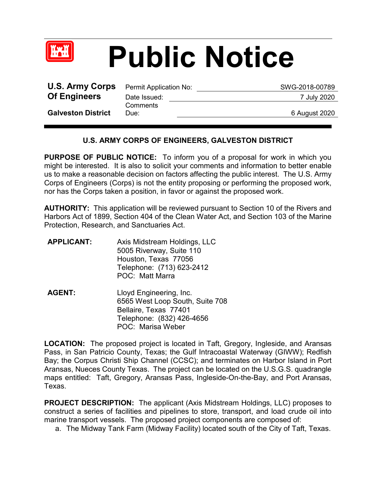

## **Public Notice**

| <b>U.S. Army Corps</b>    | Permit Application No: | SWG-2018-00789 |
|---------------------------|------------------------|----------------|
| <b>Of Engineers</b>       | Date Issued:           | 7 July 2020    |
| <b>Galveston District</b> | Comments<br>Due:       | 6 August 2020  |
|                           |                        |                |

## **U.S. ARMY CORPS OF ENGINEERS, GALVESTON DISTRICT**

**PURPOSE OF PUBLIC NOTICE:** To inform you of a proposal for work in which you might be interested. It is also to solicit your comments and information to better enable us to make a reasonable decision on factors affecting the public interest. The U.S. Army Corps of Engineers (Corps) is not the entity proposing or performing the proposed work, nor has the Corps taken a position, in favor or against the proposed work.

**AUTHORITY:** This application will be reviewed pursuant to Section 10 of the Rivers and Harbors Act of 1899, Section 404 of the Clean Water Act, and Section 103 of the Marine Protection, Research, and Sanctuaries Act.

| <b>APPLICANT:</b> | Axis Midstream Holdings, LLC<br>5005 Riverway, Suite 110<br>Houston, Texas 77056<br>Telephone: (713) 623-2412<br><b>POC: Matt Marra</b> |
|-------------------|-----------------------------------------------------------------------------------------------------------------------------------------|
|                   |                                                                                                                                         |

**AGENT:** Lloyd Engineering, Inc. 6565 West Loop South, Suite 708 Bellaire, Texas 77401 Telephone: (832) 426-4656 POC: Marisa Weber

**LOCATION:** The proposed project is located in Taft, Gregory, Ingleside, and Aransas Pass, in San Patricio County, Texas; the Gulf Intracoastal Waterway (GIWW); Redfish Bay; the Corpus Christi Ship Channel (CCSC); and terminates on Harbor Island in Port Aransas, Nueces County Texas. The project can be located on the U.S.G.S. quadrangle maps entitled: Taft, Gregory, Aransas Pass, Ingleside-On-the-Bay, and Port Aransas, Texas.

**PROJECT DESCRIPTION:** The applicant (Axis Midstream Holdings, LLC) proposes to construct a series of facilities and pipelines to store, transport, and load crude oil into marine transport vessels. The proposed project components are composed of:

a. The Midway Tank Farm (Midway Facility) located south of the City of Taft, Texas.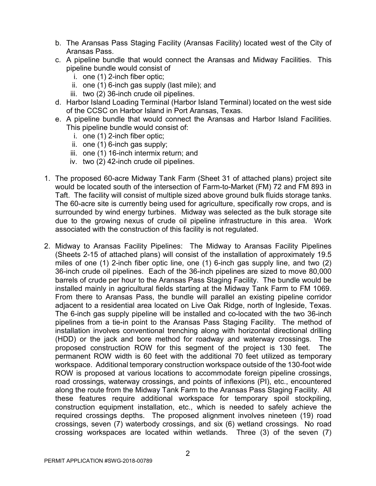- b. The Aransas Pass Staging Facility (Aransas Facility) located west of the City of Aransas Pass.
- c. A pipeline bundle that would connect the Aransas and Midway Facilities. This pipeline bundle would consist of
	- i. one (1) 2-inch fiber optic;
	- ii. one (1) 6-inch gas supply (last mile); and
	- iii. two (2) 36-inch crude oil pipelines.
- d. Harbor Island Loading Terminal (Harbor Island Terminal) located on the west side of the CCSC on Harbor Island in Port Aransas, Texas.
- e. A pipeline bundle that would connect the Aransas and Harbor Island Facilities. This pipeline bundle would consist of:
	- i. one (1) 2-inch fiber optic;
	- ii. one (1) 6-inch gas supply;
	- iii. one (1) 16-inch intermix return; and
	- iv. two (2) 42-inch crude oil pipelines.
- 1. The proposed 60-acre Midway Tank Farm (Sheet 31 of attached plans) project site would be located south of the intersection of Farm-to-Market (FM) 72 and FM 893 in Taft. The facility will consist of multiple sized above ground bulk fluids storage tanks. The 60-acre site is currently being used for agriculture, specifically row crops, and is surrounded by wind energy turbines. Midway was selected as the bulk storage site due to the growing nexus of crude oil pipeline infrastructure in this area. Work associated with the construction of this facility is not regulated.
- 2. Midway to Aransas Facility Pipelines: The Midway to Aransas Facility Pipelines (Sheets 2-15 of attached plans) will consist of the installation of approximately 19.5 miles of one (1) 2-inch fiber optic line, one (1) 6-inch gas supply line, and two (2) 36-inch crude oil pipelines. Each of the 36-inch pipelines are sized to move 80,000 barrels of crude per hour to the Aransas Pass Staging Facility. The bundle would be installed mainly in agricultural fields starting at the Midway Tank Farm to FM 1069. From there to Aransas Pass, the bundle will parallel an existing pipeline corridor adjacent to a residential area located on Live Oak Ridge, north of Ingleside, Texas. The 6-inch gas supply pipeline will be installed and co-located with the two 36-inch pipelines from a tie-in point to the Aransas Pass Staging Facility. The method of installation involves conventional trenching along with horizontal directional drilling (HDD) or the jack and bore method for roadway and waterway crossings. The proposed construction ROW for this segment of the project is 130 feet. The permanent ROW width is 60 feet with the additional 70 feet utilized as temporary workspace. Additional temporary construction workspace outside of the 130-foot wide ROW is proposed at various locations to accommodate foreign pipeline crossings, road crossings, waterway crossings, and points of inflexions (PI), etc., encountered along the route from the Midway Tank Farm to the Aransas Pass Staging Facility. All these features require additional workspace for temporary spoil stockpiling, construction equipment installation, etc., which is needed to safely achieve the required crossings depths. The proposed alignment involves nineteen (19) road crossings, seven (7) waterbody crossings, and six (6) wetland crossings. No road crossing workspaces are located within wetlands. Three (3) of the seven (7)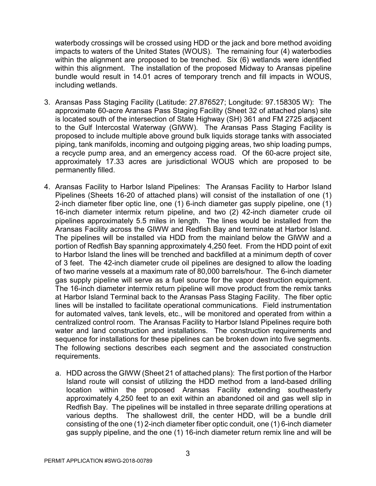waterbody crossings will be crossed using HDD or the jack and bore method avoiding impacts to waters of the United States (WOUS). The remaining four (4) waterbodies within the alignment are proposed to be trenched. Six (6) wetlands were identified within this alignment. The installation of the proposed Midway to Aransas pipeline bundle would result in 14.01 acres of temporary trench and fill impacts in WOUS, including wetlands.

- 3. Aransas Pass Staging Facility (Latitude: 27.876527; Longitude: 97.158305 W): The approximate 60-acre Aransas Pass Staging Facility (Sheet 32 of attached plans) site is located south of the intersection of State Highway (SH) 361 and FM 2725 adjacent to the Gulf Intercostal Waterway (GIWW). The Aransas Pass Staging Facility is proposed to include multiple above ground bulk liquids storage tanks with associated piping, tank manifolds, incoming and outgoing pigging areas, two ship loading pumps, a recycle pump area, and an emergency access road. Of the 60-acre project site, approximately 17.33 acres are jurisdictional WOUS which are proposed to be permanently filled.
- 4. Aransas Facility to Harbor Island Pipelines: The Aransas Facility to Harbor Island Pipelines (Sheets 16-20 of attached plans) will consist of the installation of one (1) 2-inch diameter fiber optic line, one  $(1)$  6-inch diameter gas supply pipeline, one  $(1)$ 16-inch diameter intermix return pipeline, and two (2) 42-inch diameter crude oil pipelines approximately 5.5 miles in length. The lines would be installed from the Aransas Facility across the GIWW and Redfish Bay and terminate at Harbor Island. The pipelines will be installed via HDD from the mainland below the GIWW and a portion of Redfish Bay spanning approximately 4,250 feet. From the HDD point of exit to Harbor Island the lines will be trenched and backfilled at a minimum depth of cover of 3 feet. The 42-inch diameter crude oil pipelines are designed to allow the loading of two marine vessels at a maximum rate of 80,000 barrels/hour. The 6-inch diameter gas supply pipeline will serve as a fuel source for the vapor destruction equipment. The 16-inch diameter intermix return pipeline will move product from the remix tanks at Harbor Island Terminal back to the Aransas Pass Staging Facility. The fiber optic lines will be installed to facilitate operational communications. Field instrumentation for automated valves, tank levels, etc., will be monitored and operated from within a centralized control room. The Aransas Facility to Harbor Island Pipelines require both water and land construction and installations. The construction requirements and sequence for installations for these pipelines can be broken down into five segments. The following sections describes each segment and the associated construction requirements.
	- a. HDD across the GIWW (Sheet 21 of attached plans): The first portion of the Harbor Island route will consist of utilizing the HDD method from a land-based drilling location within the proposed Aransas Facility extending southeasterly approximately 4,250 feet to an exit within an abandoned oil and gas well slip in Redfish Bay. The pipelines will be installed in three separate drilling operations at various depths. The shallowest drill, the center HDD, will be a bundle drill consisting of the one (1) 2-inch diameter fiber optic conduit, one (1) 6-inch diameter gas supply pipeline, and the one (1) 16-inch diameter return remix line and will be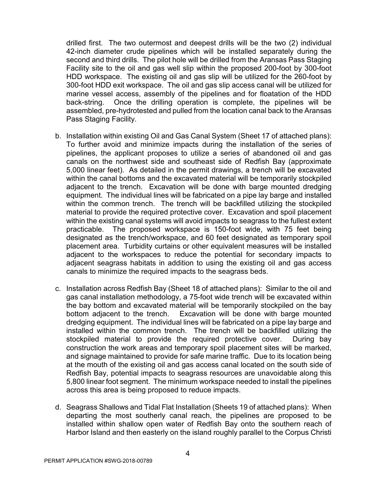drilled first. The two outermost and deepest drills will be the two (2) individual 42-inch diameter crude pipelines which will be installed separately during the second and third drills. The pilot hole will be drilled from the Aransas Pass Staging Facility site to the oil and gas well slip within the proposed 200-foot by 300-foot HDD workspace. The existing oil and gas slip will be utilized for the 260-foot by 300-foot HDD exit workspace. The oil and gas slip access canal will be utilized for marine vessel access, assembly of the pipelines and for floatation of the HDD back-string. Once the drilling operation is complete, the pipelines will be assembled, pre-hydrotested and pulled from the location canal back to the Aransas Pass Staging Facility.

- b. Installation within existing Oil and Gas Canal System (Sheet 17 of attached plans): To further avoid and minimize impacts during the installation of the series of pipelines, the applicant proposes to utilize a series of abandoned oil and gas canals on the northwest side and southeast side of Redfish Bay (approximate 5,000 linear feet). As detailed in the permit drawings, a trench will be excavated within the canal bottoms and the excavated material will be temporarily stockpiled adjacent to the trench. Excavation will be done with barge mounted dredging equipment. The individual lines will be fabricated on a pipe lay barge and installed within the common trench. The trench will be backfilled utilizing the stockpiled material to provide the required protective cover. Excavation and spoil placement within the existing canal systems will avoid impacts to seagrass to the fullest extent practicable. The proposed workspace is 150-foot wide, with 75 feet being designated as the trench/workspace, and 60 feet designated as temporary spoil placement area. Turbidity curtains or other equivalent measures will be installed adjacent to the workspaces to reduce the potential for secondary impacts to adjacent seagrass habitats in addition to using the existing oil and gas access canals to minimize the required impacts to the seagrass beds.
- c. Installation across Redfish Bay (Sheet 18 of attached plans): Similar to the oil and gas canal installation methodology, a 75-foot wide trench will be excavated within the bay bottom and excavated material will be temporarily stockpiled on the bay bottom adjacent to the trench. Excavation will be done with barge mounted dredging equipment. The individual lines will be fabricated on a pipe lay barge and installed within the common trench. The trench will be backfilled utilizing the stockpiled material to provide the required protective cover. During bay construction the work areas and temporary spoil placement sites will be marked, and signage maintained to provide for safe marine traffic. Due to its location being at the mouth of the existing oil and gas access canal located on the south side of Redfish Bay, potential impacts to seagrass resources are unavoidable along this 5,800 linear foot segment. The minimum workspace needed to install the pipelines across this area is being proposed to reduce impacts.
- d. Seagrass Shallows and Tidal Flat Installation (Sheets 19 of attached plans): When departing the most southerly canal reach, the pipelines are proposed to be installed within shallow open water of Redfish Bay onto the southern reach of Harbor Island and then easterly on the island roughly parallel to the Corpus Christi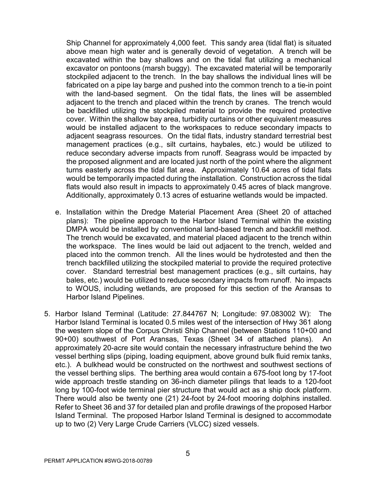Ship Channel for approximately 4,000 feet. This sandy area (tidal flat) is situated above mean high water and is generally devoid of vegetation. A trench will be excavated within the bay shallows and on the tidal flat utilizing a mechanical excavator on pontoons (marsh buggy). The excavated material will be temporarily stockpiled adjacent to the trench. In the bay shallows the individual lines will be fabricated on a pipe lay barge and pushed into the common trench to a tie-in point with the land-based segment. On the tidal flats, the lines will be assembled adjacent to the trench and placed within the trench by cranes. The trench would be backfilled utilizing the stockpiled material to provide the required protective cover. Within the shallow bay area, turbidity curtains or other equivalent measures would be installed adjacent to the workspaces to reduce secondary impacts to adjacent seagrass resources. On the tidal flats, industry standard terrestrial best management practices (e.g., silt curtains, haybales, etc.) would be utilized to reduce secondary adverse impacts from runoff. Seagrass would be impacted by the proposed alignment and are located just north of the point where the alignment turns easterly across the tidal flat area. Approximately 10.64 acres of tidal flats would be temporarily impacted during the installation. Construction across the tidal flats would also result in impacts to approximately 0.45 acres of black mangrove. Additionally, approximately 0.13 acres of estuarine wetlands would be impacted.

- e. Installation within the Dredge Material Placement Area (Sheet 20 of attached plans): The pipeline approach to the Harbor Island Terminal within the existing DMPA would be installed by conventional land-based trench and backfill method. The trench would be excavated, and material placed adjacent to the trench within the workspace. The lines would be laid out adjacent to the trench, welded and placed into the common trench. All the lines would be hydrotested and then the trench backfilled utilizing the stockpiled material to provide the required protective cover. Standard terrestrial best management practices (e.g., silt curtains, hay bales, etc.) would be utilized to reduce secondary impacts from runoff. No impacts to WOUS, including wetlands, are proposed for this section of the Aransas to Harbor Island Pipelines.
- 5. Harbor Island Terminal (Latitude: 27.844767 N; Longitude: 97.083002 W): The Harbor Island Terminal is located 0.5 miles west of the intersection of Hwy 361 along the western slope of the Corpus Christi Ship Channel (between Stations 110+00 and 90+00) southwest of Port Aransas, Texas (Sheet 34 of attached plans). An approximately 20-acre site would contain the necessary infrastructure behind the two vessel berthing slips (piping, loading equipment, above ground bulk fluid remix tanks, etc.). A bulkhead would be constructed on the northwest and southwest sections of the vessel berthing slips. The berthing area would contain a 675-foot long by 17-foot wide approach trestle standing on 36-inch diameter pilings that leads to a 120-foot long by 100-foot wide terminal pier structure that would act as a ship dock platform. There would also be twenty one (21) 24-foot by 24-foot mooring dolphins installed. Refer to Sheet 36 and 37 for detailed plan and profile drawings of the proposed Harbor Island Terminal. The proposed Harbor Island Terminal is designed to accommodate up to two (2) Very Large Crude Carriers (VLCC) sized vessels.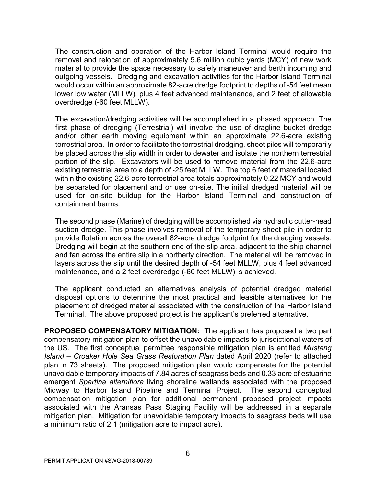The construction and operation of the Harbor Island Terminal would require the removal and relocation of approximately 5.6 million cubic yards (MCY) of new work material to provide the space necessary to safely maneuver and berth incoming and outgoing vessels. Dredging and excavation activities for the Harbor Island Terminal would occur within an approximate 82-acre dredge footprint to depths of -54 feet mean lower low water (MLLW), plus 4 feet advanced maintenance, and 2 feet of allowable overdredge (-60 feet MLLW).

The excavation/dredging activities will be accomplished in a phased approach. The first phase of dredging (Terrestrial) will involve the use of dragline bucket dredge and/or other earth moving equipment within an approximate 22.6-acre existing terrestrial area. In order to facilitate the terrestrial dredging, sheet piles will temporarily be placed across the slip width in order to dewater and isolate the northern terrestrial portion of the slip. Excavators will be used to remove material from the 22.6-acre existing terrestrial area to a depth of ‐25 feet MLLW. The top 6 feet of material located within the existing 22.6-acre terrestrial area totals approximately 0.22 MCY and would be separated for placement and or use on-site. The initial dredged material will be used for on-site buildup for the Harbor Island Terminal and construction of containment berms.

The second phase (Marine) of dredging will be accomplished via hydraulic cutter‐head suction dredge. This phase involves removal of the temporary sheet pile in order to provide flotation across the overall 82-acre dredge footprint for the dredging vessels. Dredging will begin at the southern end of the slip area, adjacent to the ship channel and fan across the entire slip in a northerly direction. The material will be removed in layers across the slip until the desired depth of -54 feet MLLW, plus 4 feet advanced maintenance, and a 2 feet overdredge (-60 feet MLLW) is achieved.

The applicant conducted an alternatives analysis of potential dredged material disposal options to determine the most practical and feasible alternatives for the placement of dredged material associated with the construction of the Harbor Island Terminal. The above proposed project is the applicant's preferred alternative.

**PROPOSED COMPENSATORY MITIGATION:** The applicant has proposed a two part compensatory mitigation plan to offset the unavoidable impacts to jurisdictional waters of the US. The first conceptual permittee responsible mitigation plan is entitled *Mustang Island – Croaker Hole Sea Grass Restoration Plan* dated April 2020 (refer to attached plan in 73 sheets). The proposed mitigation plan would compensate for the potential unavoidable temporary impacts of 7.84 acres of seagrass beds and 0.33 acre of estuarine emergent *Spartina alterniflora* living shoreline wetlands associated with the proposed Midway to Harbor Island Pipeline and Terminal Project. The second conceptual compensation mitigation plan for additional permanent proposed project impacts associated with the Aransas Pass Staging Facility will be addressed in a separate mitigation plan. Mitigation for unavoidable temporary impacts to seagrass beds will use a minimum ratio of 2:1 (mitigation acre to impact acre).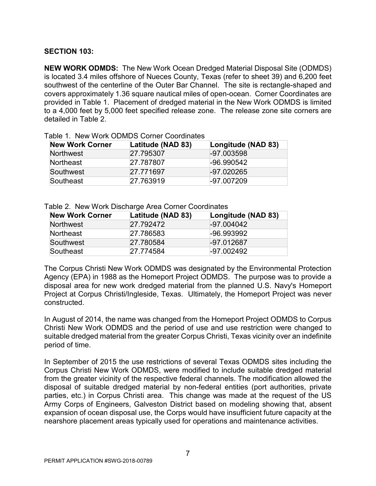## **SECTION 103:**

**NEW WORK ODMDS:** The New Work Ocean Dredged Material Disposal Site (ODMDS) is located 3.4 miles offshore of Nueces County, Texas (refer to sheet 39) and 6,200 feet southwest of the centerline of the Outer Bar Channel. The site is rectangle-shaped and covers approximately 1.36 square nautical miles of open-ocean. Corner Coordinates are provided in Table 1. Placement of dredged material in the New Work ODMDS is limited to a 4,000 feet by 5,000 feet specified release zone. The release zone site corners are detailed in Table 2.

| <b>New Work Corner</b> | Latitude (NAD 83) | Longitude (NAD 83) |
|------------------------|-------------------|--------------------|
| <b>Northwest</b>       | 27.795307         | $-97.003598$       |
| <b>Northeast</b>       | 27.787807         | $-96.990542$       |
| Southwest              | 27.771697         | $-97.020265$       |
| Southeast              | 27.763919         | $-97.007209$       |

Table 1. New Work ODMDS Corner Coordinates

## Table 2. New Work Discharge Area Corner Coordinates

| <b>New Work Corner</b> | Latitude (NAD 83) | Longitude (NAD 83) |
|------------------------|-------------------|--------------------|
| <b>Northwest</b>       | 27.792472         | $-97.004042$       |
| Northeast              | 27.786583         | $-96.993992$       |
| Southwest              | 27.780584         | $-97.012687$       |
| Southeast              | 27.774584         | $-97.002492$       |

The Corpus Christi New Work ODMDS was designated by the Environmental Protection Agency (EPA) in 1988 as the Homeport Project ODMDS. The purpose was to provide a disposal area for new work dredged material from the planned U.S. Navy's Homeport Project at Corpus Christi/Ingleside, Texas. Ultimately, the Homeport Project was never constructed.

In August of 2014, the name was changed from the Homeport Project ODMDS to Corpus Christi New Work ODMDS and the period of use and use restriction were changed to suitable dredged material from the greater Corpus Christi, Texas vicinity over an indefinite period of time.

In September of 2015 the use restrictions of several Texas ODMDS sites including the Corpus Christi New Work ODMDS, were modified to include suitable dredged material from the greater vicinity of the respective federal channels. The modification allowed the disposal of suitable dredged material by non-federal entities (port authorities, private parties, etc.) in Corpus Christi area. This change was made at the request of the US Army Corps of Engineers, Galveston District based on modeling showing that, absent expansion of ocean disposal use, the Corps would have insufficient future capacity at the nearshore placement areas typically used for operations and maintenance activities.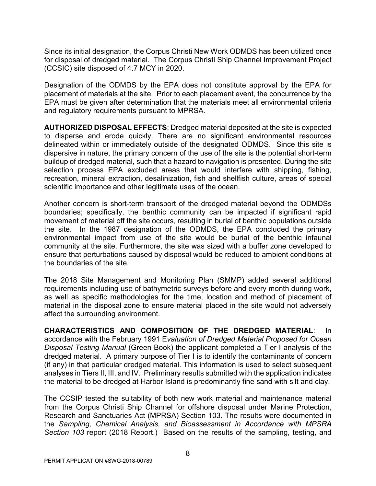Since its initial designation, the Corpus Christi New Work ODMDS has been utilized once for disposal of dredged material. The Corpus Christi Ship Channel Improvement Project (CCSIC) site disposed of 4.7 MCY in 2020.

Designation of the ODMDS by the EPA does not constitute approval by the EPA for placement of materials at the site. Prior to each placement event, the concurrence by the EPA must be given after determination that the materials meet all environmental criteria and regulatory requirements pursuant to MPRSA.

**AUTHORIZED DISPOSAL EFFECTS**: Dredged material deposited at the site is expected to disperse and erode quickly. There are no significant environmental resources delineated within or immediately outside of the designated ODMDS. Since this site is dispersive in nature, the primary concern of the use of the site is the potential short-term buildup of dredged material, such that a hazard to navigation is presented. During the site selection process EPA excluded areas that would interfere with shipping, fishing, recreation, mineral extraction, desalinization, fish and shellfish culture, areas of special scientific importance and other legitimate uses of the ocean.

Another concern is short-term transport of the dredged material beyond the ODMDSs boundaries; specifically, the benthic community can be impacted if significant rapid movement of material off the site occurs, resulting in burial of benthic populations outside the site. In the 1987 designation of the ODMDS, the EPA concluded the primary environmental impact from use of the site would be burial of the benthic infaunal community at the site. Furthermore, the site was sized with a buffer zone developed to ensure that perturbations caused by disposal would be reduced to ambient conditions at the boundaries of the site.

The 2018 Site Management and Monitoring Plan (SMMP) added several additional requirements including use of bathymetric surveys before and every month during work, as well as specific methodologies for the time, location and method of placement of material in the disposal zone to ensure material placed in the site would not adversely affect the surrounding environment.

**CHARACTERISTICS AND COMPOSITION OF THE DREDGED MATERIAL**: In accordance with the February 1991 E*valuation of Dredged Material Proposed for Ocean Disposal Testing Manual* (Green Book) the applicant completed a Tier I analysis of the dredged material. A primary purpose of Tier I is to identify the contaminants of concern (if any) in that particular dredged material. This information is used to select subsequent analyses in Tiers II, III, and IV. Preliminary results submitted with the application indicates the material to be dredged at Harbor Island is predominantly fine sand with silt and clay.

The CCSIP tested the suitability of both new work material and maintenance material from the Corpus Christi Ship Channel for offshore disposal under Marine Protection, Research and Sanctuaries Act (MPRSA) Section 103. The results were documented in the *Sampling, Chemical Analysis, and Bioassessment in Accordance with MPSRA Section 103* report (2018 Report.) Based on the results of the sampling, testing, and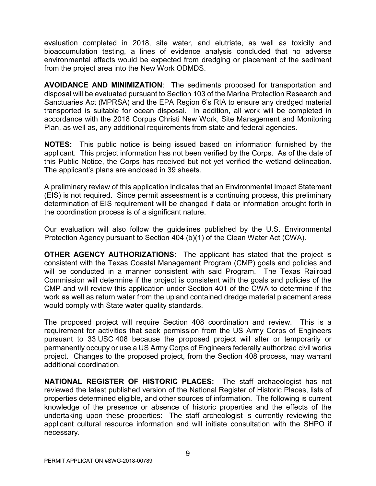evaluation completed in 2018, site water, and elutriate, as well as toxicity and bioaccumulation testing, a lines of evidence analysis concluded that no adverse environmental effects would be expected from dredging or placement of the sediment from the project area into the New Work ODMDS.

**AVOIDANCE AND MINIMIZATION**: The sediments proposed for transportation and disposal will be evaluated pursuant to Section 103 of the Marine Protection Research and Sanctuaries Act (MPRSA) and the EPA Region 6's RIA to ensure any dredged material transported is suitable for ocean disposal. In addition, all work will be completed in accordance with the 2018 Corpus Christi New Work, Site Management and Monitoring Plan, as well as, any additional requirements from state and federal agencies.

**NOTES:** This public notice is being issued based on information furnished by the applicant. This project information has not been verified by the Corps. As of the date of this Public Notice, the Corps has received but not yet verified the wetland delineation. The applicant's plans are enclosed in 39 sheets.

A preliminary review of this application indicates that an Environmental Impact Statement (EIS) is not required. Since permit assessment is a continuing process, this preliminary determination of EIS requirement will be changed if data or information brought forth in the coordination process is of a significant nature.

Our evaluation will also follow the guidelines published by the U.S. Environmental Protection Agency pursuant to Section 404 (b)(1) of the Clean Water Act (CWA).

**OTHER AGENCY AUTHORIZATIONS:** The applicant has stated that the project is consistent with the Texas Coastal Management Program (CMP) goals and policies and will be conducted in a manner consistent with said Program. The Texas Railroad Commission will determine if the project is consistent with the goals and policies of the CMP and will review this application under Section 401 of the CWA to determine if the work as well as return water from the upland contained dredge material placement areas would comply with State water quality standards.

The proposed project will require Section 408 coordination and review. This is a requirement for activities that seek permission from the US Army Corps of Engineers pursuant to 33 USC 408 because the proposed project will alter or temporarily or permanently occupy or use a US Army Corps of Engineers federally authorized civil works project. Changes to the proposed project, from the Section 408 process, may warrant additional coordination.

**NATIONAL REGISTER OF HISTORIC PLACES:** The staff archaeologist has not reviewed the latest published version of the National Register of Historic Places, lists of properties determined eligible, and other sources of information. The following is current knowledge of the presence or absence of historic properties and the effects of the undertaking upon these properties: The staff archeologist is currently reviewing the applicant cultural resource information and will initiate consultation with the SHPO if necessary.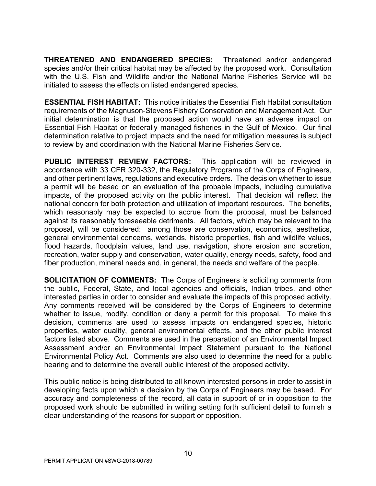**THREATENED AND ENDANGERED SPECIES:** Threatened and/or endangered species and/or their critical habitat may be affected by the proposed work. Consultation with the U.S. Fish and Wildlife and/or the National Marine Fisheries Service will be initiated to assess the effects on listed endangered species.

**ESSENTIAL FISH HABITAT:** This notice initiates the Essential Fish Habitat consultation requirements of the Magnuson-Stevens Fishery Conservation and Management Act. Our initial determination is that the proposed action would have an adverse impact on Essential Fish Habitat or federally managed fisheries in the Gulf of Mexico. Our final determination relative to project impacts and the need for mitigation measures is subject to review by and coordination with the National Marine Fisheries Service.

**PUBLIC INTEREST REVIEW FACTORS:** This application will be reviewed in accordance with 33 CFR 320-332, the Regulatory Programs of the Corps of Engineers, and other pertinent laws, regulations and executive orders. The decision whether to issue a permit will be based on an evaluation of the probable impacts, including cumulative impacts, of the proposed activity on the public interest. That decision will reflect the national concern for both protection and utilization of important resources. The benefits, which reasonably may be expected to accrue from the proposal, must be balanced against its reasonably foreseeable detriments. All factors, which may be relevant to the proposal, will be considered: among those are conservation, economics, aesthetics, general environmental concerns, wetlands, historic properties, fish and wildlife values, flood hazards, floodplain values, land use, navigation, shore erosion and accretion, recreation, water supply and conservation, water quality, energy needs, safety, food and fiber production, mineral needs and, in general, the needs and welfare of the people.

**SOLICITATION OF COMMENTS:** The Corps of Engineers is soliciting comments from the public, Federal, State, and local agencies and officials, Indian tribes, and other interested parties in order to consider and evaluate the impacts of this proposed activity. Any comments received will be considered by the Corps of Engineers to determine whether to issue, modify, condition or deny a permit for this proposal. To make this decision, comments are used to assess impacts on endangered species, historic properties, water quality, general environmental effects, and the other public interest factors listed above. Comments are used in the preparation of an Environmental Impact Assessment and/or an Environmental Impact Statement pursuant to the National Environmental Policy Act. Comments are also used to determine the need for a public hearing and to determine the overall public interest of the proposed activity.

This public notice is being distributed to all known interested persons in order to assist in developing facts upon which a decision by the Corps of Engineers may be based. For accuracy and completeness of the record, all data in support of or in opposition to the proposed work should be submitted in writing setting forth sufficient detail to furnish a clear understanding of the reasons for support or opposition.